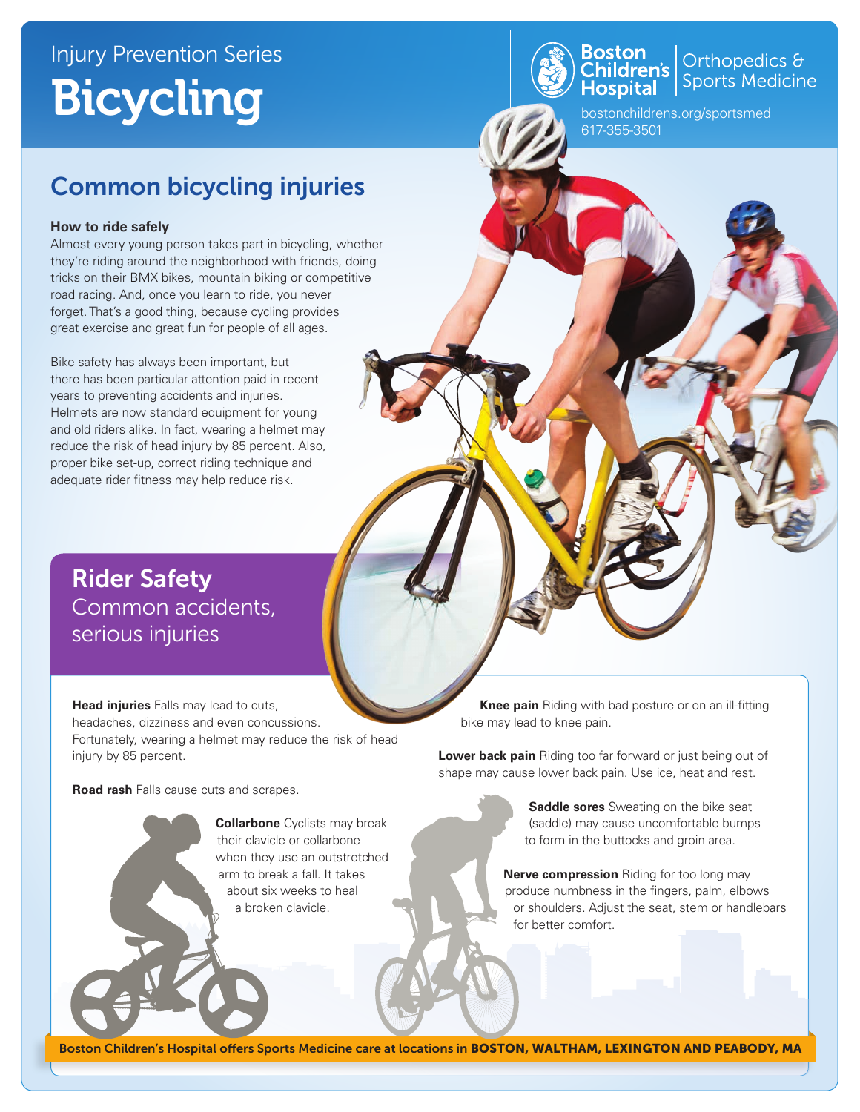## Injury Prevention Series Bicycling



Orthopedics & Sports Medicine

bostonchildrens.org/sportsmed 617-355-3501

### Common bicycling injuries

#### **How to ride safely**

Almost every young person takes part in bicycling, whether they're riding around the neighborhood with friends, doing tricks on their BMX bikes, mountain biking or competitive road racing. And, once you learn to ride, you never forget. That's a good thing, because cycling provides great exercise and great fun for people of all ages.

Bike safety has always been important, but there has been particular attention paid in recent years to preventing accidents and injuries. Helmets are now standard equipment for young and old riders alike. In fact, wearing a helmet may reduce the risk of head injury by 85 percent. Also, proper bike set-up, correct riding technique and adequate rider fitness may help reduce risk.

Rider Safety Common accidents, serious injuries

**Head injuries** Falls may lead to cuts, headaches, dizziness and even concussions. Fortunately, wearing a helmet may reduce the risk of head injury by 85 percent.

**Road rash** Falls cause cuts and scrapes.

**Collarbone** Cyclists may break their clavicle or collarbone when they use an outstretched arm to break a fall. It takes about six weeks to heal a broken clavicle.

 **Knee pain** Riding with bad posture or on an ill-fitting bike may lead to knee pain.

**Lower back pain** Riding too far forward or just being out of shape may cause lower back pain. Use ice, heat and rest.

> **Saddle sores** Sweating on the bike seat (saddle) may cause uncomfortable bumps to form in the buttocks and groin area.

**Nerve compression** Riding for too long may produce numbness in the fingers, palm, elbows or shoulders. Adjust the seat, stem or handlebars for better comfort.

Boston Children's Hospital offers Sports Medicine care at locations in BOSTON, WALTHAM, LEXINGTON AND PEABODY, MA